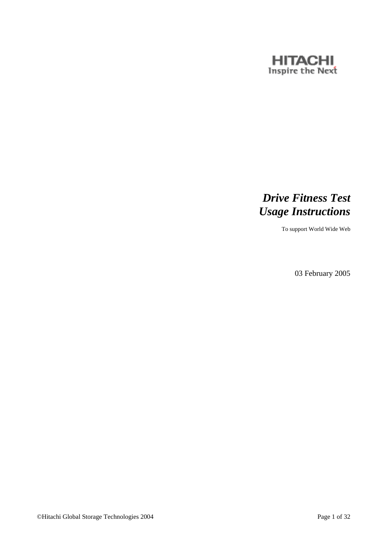

# *Drive Fitness Test Usage Instructions*

To support World Wide Web

03 February 2005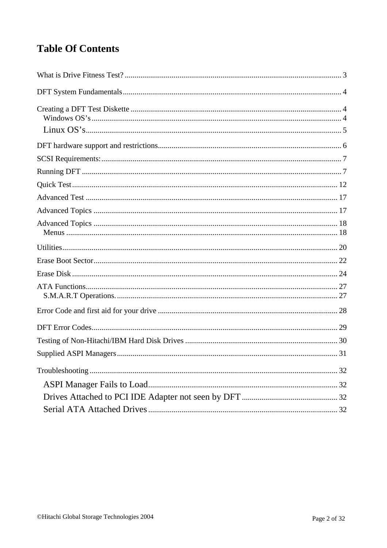# **Table Of Contents**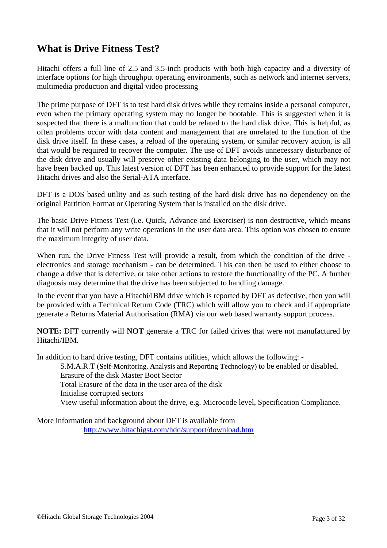### **What is Drive Fitness Test?**

Hitachi offers a full line of 2.5 and 3.5-inch products with both high capacity and a diversity of interface options for high throughput operating environments, such as network and internet servers, multimedia production and digital video processing

The prime purpose of DFT is to test hard disk drives while they remains inside a personal computer, even when the primary operating system may no longer be bootable. This is suggested when it is suspected that there is a malfunction that could be related to the hard disk drive. This is helpful, as often problems occur with data content and management that are unrelated to the function of the disk drive itself. In these cases, a reload of the operating system, or similar recovery action, is all that would be required to recover the computer. The use of DFT avoids unnecessary disturbance of the disk drive and usually will preserve other existing data belonging to the user, which may not have been backed up. This latest version of DFT has been enhanced to provide support for the latest Hitachi drives and also the Serial-ATA interface.

DFT is a DOS based utility and as such testing of the hard disk drive has no dependency on the original Partition Format or Operating System that is installed on the disk drive.

The basic Drive Fitness Test (i.e. Quick, Advance and Exerciser) is non-destructive, which means that it will not perform any write operations in the user data area. This option was chosen to ensure the maximum integrity of user data.

When run, the Drive Fitness Test will provide a result, from which the condition of the drive electronics and storage mechanism - can be determined. This can then be used to either choose to change a drive that is defective, or take other actions to restore the functionality of the PC. A further diagnosis may determine that the drive has been subjected to handling damage.

In the event that you have a Hitachi/IBM drive which is reported by DFT as defective, then you will be provided with a Technical Return Code (TRC) which will allow you to check and if appropriate generate a Returns Material Authorisation (RMA) via our web based warranty support process.

**NOTE:** DFT currently will **NOT** generate a TRC for failed drives that were not manufactured by Hitachi/IBM.

In addition to hard drive testing, DFT contains utilities, which allows the following: -

S.M.A.R.T (**S**elf-**M**onitoring, **A**nalysis and **R**eporting **T**echnology) to be enabled or disabled. Erasure of the disk Master Boot Sector Total Erasure of the data in the user area of the disk Initialise corrupted sectors View useful information about the drive, e.g. Microcode level, Specification Compliance.

More information and background about DFT is available from http://www.hitachigst.com/hdd/support/download.htm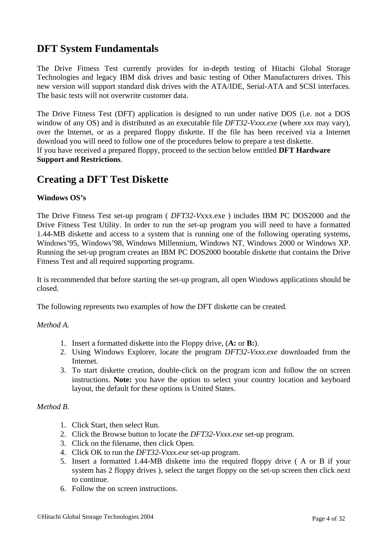## **DFT System Fundamentals**

The Drive Fitness Test currently provides for in-depth testing of Hitachi Global Storage Technologies and legacy IBM disk drives and basic testing of Other Manufacturers drives. This new version will support standard disk drives with the ATA/IDE, Serial-ATA and SCSI interfaces. The basic tests will not overwrite customer data.

The Drive Fitness Test (DFT) application is designed to run under native DOS (i.e. not a DOS window of any OS) and is distributed as an executable file *DFT32-Vxxx.exe* (where *xxx* may vary), over the Internet, or as a prepared floppy diskette. If the file has been received via a Internet download you will need to follow one of the procedures below to prepare a test diskette. If you have received a prepared floppy, proceed to the section below entitled **DFT Hardware Support and Restrictions**.

### **Creating a DFT Test Diskette**

#### **Windows OS's**

The Drive Fitness Test set-up program ( *DFT32*-*V*xxx.exe ) includes IBM PC DOS2000 and the Drive Fitness Test Utility. In order to run the set-up program you will need to have a formatted 1.44-MB diskette and access to a system that is running one of the following operating systems, Windows'95, Windows'98, Windows Millennium, Windows NT, Windows 2000 or Windows XP. Running the set-up program creates an IBM PC DOS2000 bootable diskette that contains the Drive Fitness Test and all required supporting programs.

It is recommended that before starting the set-up program, all open Windows applications should be closed.

The following represents two examples of how the DFT diskette can be created.

#### *Method A.*

- 1. Insert a formatted diskette into the Floppy drive, (**A:** or **B:**).
- 2. Using Windows Explorer, locate the program *DFT32*-*Vxxx.exe* downloaded from the Internet.
- 3. To start diskette creation, double-click on the program icon and follow the on screen instructions. **Note:** you have the option to select your country location and keyboard layout, the default for these options is United States.

#### *Method B.*

- 1. Click Start, then select Run.
- 2. Click the Browse button to locate the *DFT32-Vxxx.exe* set-up program.
- 3. Click on the filename, then click Open.
- 4. Click OK to run the *DFT32-Vxxx.exe* set-up program.
- 5. Insert a formatted 1.44-MB diskette into the required floppy drive ( A or B if your system has 2 floppy drives ), select the target floppy on the set-up screen then click next to continue.
- 6. Follow the on screen instructions.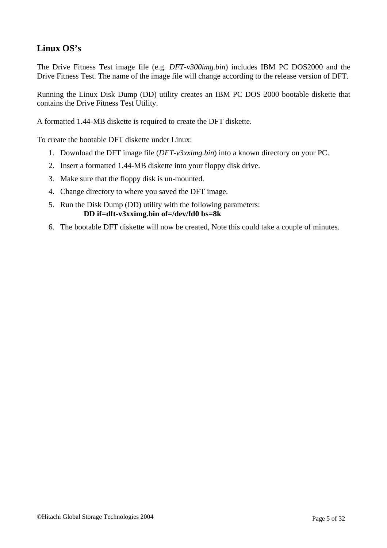### **Linux OS's**

The Drive Fitness Test image file (e.g. *DFT*-*v300img.bin*) includes IBM PC DOS2000 and the Drive Fitness Test. The name of the image file will change according to the release version of DFT.

Running the Linux Disk Dump (DD) utility creates an IBM PC DOS 2000 bootable diskette that contains the Drive Fitness Test Utility.

A formatted 1.44-MB diskette is required to create the DFT diskette.

To create the bootable DFT diskette under Linux:

- 1. Download the DFT image file (*DFT-v3xximg.bin*) into a known directory on your PC.
- 2. Insert a formatted 1.44-MB diskette into your floppy disk drive.
- 3. Make sure that the floppy disk is un-mounted.
- 4. Change directory to where you saved the DFT image.
- 5. Run the Disk Dump (DD) utility with the following parameters: **DD if=dft-v3xximg.bin of=/dev/fd0 bs=8k**
- 6. The bootable DFT diskette will now be created, Note this could take a couple of minutes.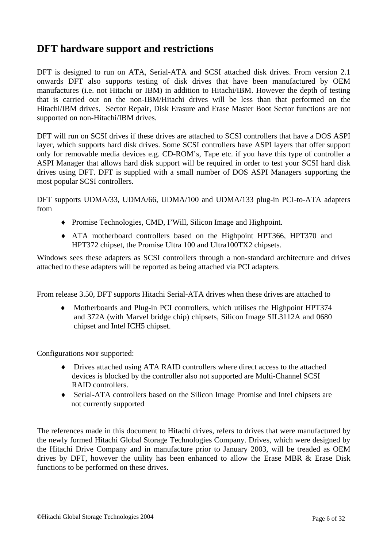### **DFT hardware support and restrictions**

DFT is designed to run on ATA, Serial-ATA and SCSI attached disk drives. From version 2.1 onwards DFT also supports testing of disk drives that have been manufactured by OEM manufactures (i.e. not Hitachi or IBM) in addition to Hitachi/IBM. However the depth of testing that is carried out on the non-IBM/Hitachi drives will be less than that performed on the Hitachi/IBM drives. Sector Repair, Disk Erasure and Erase Master Boot Sector functions are not supported on non-Hitachi/IBM drives.

DFT will run on SCSI drives if these drives are attached to SCSI controllers that have a DOS ASPI layer, which supports hard disk drives. Some SCSI controllers have ASPI layers that offer support only for removable media devices e.g. CD-ROM's, Tape etc. if you have this type of controller a ASPI Manager that allows hard disk support will be required in order to test your SCSI hard disk drives using DFT. DFT is supplied with a small number of DOS ASPI Managers supporting the most popular SCSI controllers.

DFT supports UDMA/33, UDMA/66, UDMA/100 and UDMA/133 plug-in PCI-to-ATA adapters from

- ♦ Promise Technologies, CMD, I'Will, Silicon Image and Highpoint.
- ♦ ATA motherboard controllers based on the Highpoint HPT366, HPT370 and HPT372 chipset, the Promise Ultra 100 and Ultra100TX2 chipsets.

Windows sees these adapters as SCSI controllers through a non-standard architecture and drives attached to these adapters will be reported as being attached via PCI adapters.

From release 3.50, DFT supports Hitachi Serial-ATA drives when these drives are attached to

Motherboards and Plug-in PCI controllers, which utilises the Highpoint HPT374 and 372A (with Marvel bridge chip) chipsets, Silicon Image SIL3112A and 0680 chipset and Intel ICH5 chipset.

Configurations **NOT** supported:

- ♦ Drives attached using ATA RAID controllers where direct access to the attached devices is blocked by the controller also not supported are Multi-Channel SCSI RAID controllers.
- ♦ Serial-ATA controllers based on the Silicon Image Promise and Intel chipsets are not currently supported

The references made in this document to Hitachi drives, refers to drives that were manufactured by the newly formed Hitachi Global Storage Technologies Company. Drives, which were designed by the Hitachi Drive Company and in manufacture prior to January 2003, will be treaded as OEM drives by DFT, however the utility has been enhanced to allow the Erase MBR & Erase Disk functions to be performed on these drives.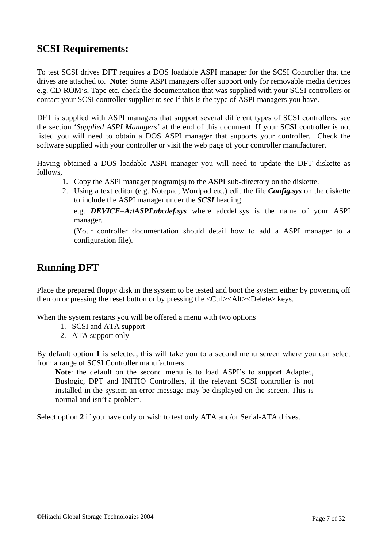### **SCSI Requirements:**

To test SCSI drives DFT requires a DOS loadable ASPI manager for the SCSI Controller that the drives are attached to. **Note:** Some ASPI managers offer support only for removable media devices e.g. CD-ROM's, Tape etc. check the documentation that was supplied with your SCSI controllers or contact your SCSI controller supplier to see if this is the type of ASPI managers you have.

DFT is supplied with ASPI managers that support several different types of SCSI controllers, see the section '*Supplied ASPI Managers'* at the end of this document. If your SCSI controller is not listed you will need to obtain a DOS ASPI manager that supports your controller. Check the software supplied with your controller or visit the web page of your controller manufacturer.

Having obtained a DOS loadable ASPI manager you will need to update the DFT diskette as follows,

- 1. Copy the ASPI manager program(s) to the **ASPI** sub-directory on the diskette.
- 2. Using a text editor (e.g. Notepad, Wordpad etc.) edit the file *Config.sys* on the diskette to include the ASPI manager under the *SCSI* heading.

e.g. *DEVICE=A:\ASPI\abcdef.sys* where adcdef.sys is the name of your ASPI manager.

(Your controller documentation should detail how to add a ASPI manager to a configuration file).

### **Running DFT**

Place the prepared floppy disk in the system to be tested and boot the system either by powering off then on or pressing the reset button or by pressing the  $\langle \text{Ctrl}\rangle \langle \text{Alt}\rangle \langle \text{Delete}\rangle$  keys.

When the system restarts you will be offered a menu with two options

- 1. SCSI and ATA support
- 2. ATA support only

By default option **1** is selected, this will take you to a second menu screen where you can select from a range of SCSI Controller manufacturers.

**Note**: the default on the second menu is to load ASPI's to support Adaptec, Buslogic, DPT and INITIO Controllers, if the relevant SCSI controller is not installed in the system an error message may be displayed on the screen. This is normal and isn't a problem.

Select option **2** if you have only or wish to test only ATA and/or Serial-ATA drives.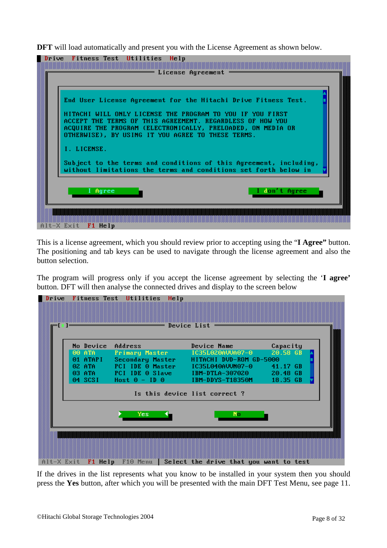**DFT** will load automatically and present you with the License Agreement as shown below.



This is a license agreement, which you should review prior to accepting using the "**I Agree"** button. The positioning and tab keys can be used to navigate through the license agreement and also the button selection.

The program will progress only if you accept the license agreement by selecting the '**I agree'**  button. DFT will then analyse the connected drives and display to the screen below

|            |                    | Drive Fitness Test Utilities Help                     |                                                   |          |  |
|------------|--------------------|-------------------------------------------------------|---------------------------------------------------|----------|--|
|            |                    | =                                                     | Device List                                       |          |  |
|            | No Device          | Address                                               | Device Name                                       | Capacity |  |
|            | 00 ATA             | <b>Primary Master</b>                                 | IC35L020AUUA07-0                                  | 20.58 GB |  |
|            | 01 ATAPI<br>02 ATA | Secondary Master<br>PCI IDE 0 Master IC35L040AVVN07-0 | HITACHI DUD-ROM GD-5000                           | 41.17 GB |  |
|            |                    |                                                       |                                                   |          |  |
|            | 04 SCSI            | $Host 0 - ID 0$                                       | IBM-DDYS-T18350M                                  | 18.35 GB |  |
|            |                    |                                                       | Is this device list correct?                      |          |  |
|            |                    | Yes:                                                  | No.                                               |          |  |
|            |                    |                                                       |                                                   |          |  |
|            |                    |                                                       |                                                   |          |  |
|            |                    |                                                       |                                                   |          |  |
| Alt-X Exit | F1 Help            |                                                       | F10 Menu   Select the drive that you want to test |          |  |

If the drives in the list represents what you know to be installed in your system then you should press the **Yes** button, after which you will be presented with the main DFT Test Menu, see page 11.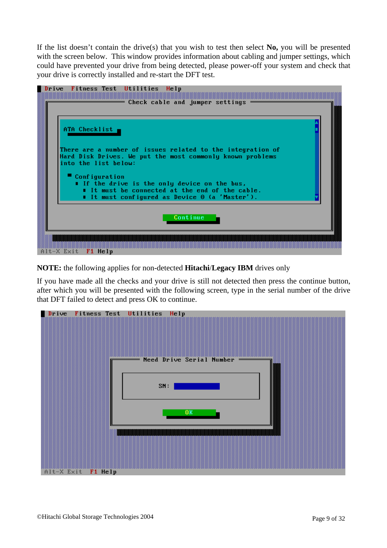If the list doesn't contain the drive(s) that you wish to test then select **No,** you will be presented with the screen below. This window provides information about cabling and jumper settings, which could have prevented your drive from being detected, please power-off your system and check that your drive is correctly installed and re-start the DFT test.



**NOTE:** the following applies for non-detected **Hitachi**/**Legacy IBM** drives only

If you have made all the checks and your drive is still not detected then press the continue button, after which you will be presented with the following screen, type in the serial number of the drive that DFT failed to detect and press OK to continue.

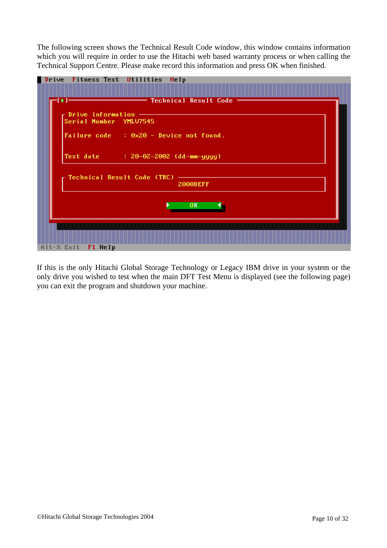The following screen shows the Technical Result Code window, this window contains information which you will require in order to use the Hitachi web based warranty process or when calling the Technical Support Centre. Please make record this information and press OK when finished.

| Drive Fitness Test Utilities Help                                                              |  |
|------------------------------------------------------------------------------------------------|--|
| $\mathbb{H}$ $\mathbb{H}$                                                                      |  |
| $\overline{\phantom{a}}$ Prive information $-\overline{\phantom{a}}$<br>Serial Number YMLU7545 |  |
| Failure $code$ : $0 \times 20$ - Device not found.                                             |  |
| Test date : 20-02-2002 (dd-mm-yyyy)                                                            |  |
| Technical Result Code (TRC) --<br>2000DEFF                                                     |  |
| OK.                                                                                            |  |
| Alt-X Exit F1 Help                                                                             |  |

If this is the only Hitachi Global Storage Technology or Legacy IBM drive in your system or the only drive you wished to test when the main DFT Test Menu is displayed (see the following page) you can exit the program and shutdown your machine.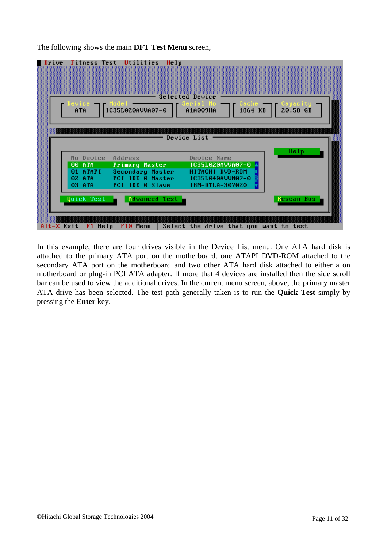The following shows the main **DFT Test Menu** screen,



In this example, there are four drives visible in the Device List menu. One ATA hard disk is attached to the primary ATA port on the motherboard, one ATAPI DVD-ROM attached to the secondary ATA port on the motherboard and two other ATA hard disk attached to either a on motherboard or plug-in PCI ATA adapter. If more that 4 devices are installed then the side scroll bar can be used to view the additional drives. In the current menu screen, above, the primary master ATA drive has been selected. The test path generally taken is to run the **Quick Test** simply by pressing the **Enter** key.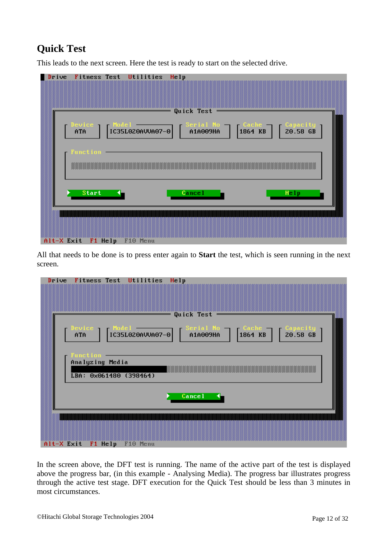# **Quick Test**

This leads to the next screen. Here the test is ready to start on the selected drive.

| Drive                           | Fitness Test Utilities      | Help | Quick Test |                       |                                                                    |
|---------------------------------|-----------------------------|------|------------|-----------------------|--------------------------------------------------------------------|
| evice<br>ATA<br><b>Function</b> | IC35L020AVVA07-0            |      | Serial No  | $\int_{1864}^{Cache}$ | $\begin{bmatrix} \text{Capacity} \\ \text{20.58 GB} \end{bmatrix}$ |
| <b>Start</b>                    |                             |      | Cancel     |                       | Help                                                               |
|                                 | Alt-X Exit F1 Help F10 Menu |      |            |                       |                                                                    |

All that needs to be done is to press enter again to **Start** the test, which is seen running in the next screen.

| Drive |                                                              | Fitness Test Utilities | Help                         |  |  |
|-------|--------------------------------------------------------------|------------------------|------------------------------|--|--|
|       |                                                              |                        | Quick Test<br>=              |  |  |
|       |                                                              |                        |                              |  |  |
|       | <b>Function</b><br>Analyzing Media<br>LBA: 0x061480 (398464) |                        |                              |  |  |
|       |                                                              |                        | $C$ <b>cancel</b> $\boxed{}$ |  |  |
|       | Alt-X Exit F1 Help F10 Menu                                  |                        |                              |  |  |

In the screen above, the DFT test is running. The name of the active part of the test is displayed above the progress bar, (in this example - Analysing Media). The progress bar illustrates progress through the active test stage. DFT execution for the Quick Test should be less than 3 minutes in most circumstances.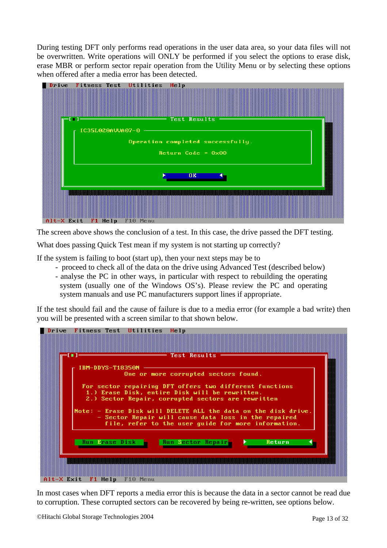During testing DFT only performs read operations in the user data area, so your data files will not be overwritten. Write operations will ONLY be performed if you select the options to erase disk, erase MBR or perform sector repair operation from the Utility Menu or by selecting these options when offered after a media error has been detected.



The screen above shows the conclusion of a test. In this case, the drive passed the DFT testing.

What does passing Quick Test mean if my system is not starting up correctly?

If the system is failing to boot (start up), then your next steps may be to

- proceed to check all of the data on the drive using Advanced Test (described below)
- analyse the PC in other ways, in particular with respect to rebuilding the operating system (usually one of the Windows OS's). Please review the PC and operating system manuals and use PC manufacturers support lines if appropriate.

If the test should fail and the cause of failure is due to a media error (for example a bad write) then you will be presented with a screen similar to that shown below.



In most cases when DFT reports a media error this is because the data in a sector cannot be read due to corruption. These corrupted sectors can be recovered by being re-written, see options below.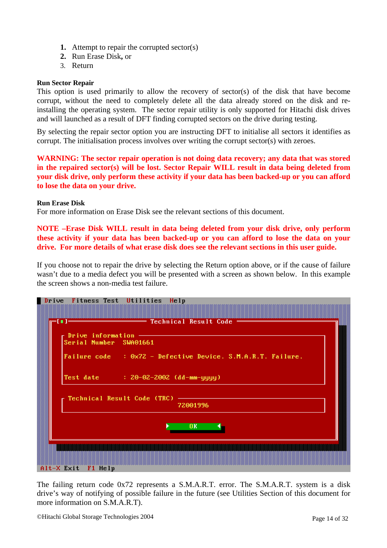- **1.** Attempt to repair the corrupted sector(s)
- **2.** Run Erase Disk**,** or
- 3. Return

#### **Run Sector Repair**

This option is used primarily to allow the recovery of sector(s) of the disk that have become corrupt, without the need to completely delete all the data already stored on the disk and reinstalling the operating system. The sector repair utility is only supported for Hitachi disk drives and will launched as a result of DFT finding corrupted sectors on the drive during testing.

By selecting the repair sector option you are instructing DFT to initialise all sectors it identifies as corrupt. The initialisation process involves over writing the corrupt sector(s) with zeroes.

**WARNING: The sector repair operation is not doing data recovery; any data that was stored in the repaired sector(s) will be lost. Sector Repair WILL result in data being deleted from your disk drive, only perform these activity if your data has been backed-up or you can afford to lose the data on your drive.** 

#### **Run Erase Disk**

For more information on Erase Disk see the relevant sections of this document.

**NOTE –Erase Disk WILL result in data being deleted from your disk drive, only perform these activity if your data has been backed-up or you can afford to lose the data on your drive. For more details of what erase disk does see the relevant sections in this user guide.** 

If you choose not to repair the drive by selecting the Return option above, or if the cause of failure wasn't due to a media defect you will be presented with a screen as shown below. In this example the screen shows a non-media test failure.

| Drive Fitness Test Utilities<br>Help                                                                                                                                                                                                                                                                                                                                                                                                 |  |
|--------------------------------------------------------------------------------------------------------------------------------------------------------------------------------------------------------------------------------------------------------------------------------------------------------------------------------------------------------------------------------------------------------------------------------------|--|
| $\hspace{1.5cm}$ $\hspace{1.5cm}$ $\hspace{1.5cm}$ $\hspace{1.5cm}$ $\hspace{1.5cm}$ $\hspace{1.5cm}$ $\hspace{1.5cm}$ $\hspace{1.5cm}$ $\hspace{1.5cm}$ $\hspace{1.5cm}$ $\hspace{1.5cm}$ $\hspace{1.5cm}$ $\hspace{1.5cm}$ $\hspace{1.5cm}$ $\hspace{1.5cm}$ $\hspace{1.5cm}$ $\hspace{1.5cm}$ $\hspace{1.5cm}$ $\hspace{$<br>$\mathsf F$ Drive information $\hspace{1.5cm} \overbrace{\hspace{2.5cm} }$<br>Serial Number SWA01661 |  |
| Failure code : $0 \times 72$ - Defective Device. S.M.A.R.T. Failure.                                                                                                                                                                                                                                                                                                                                                                 |  |
| Test date : $20 - 02 - 2002$ (dd-mm-yyyy)                                                                                                                                                                                                                                                                                                                                                                                            |  |
| Technical Result Code (TRC) --<br>72001996                                                                                                                                                                                                                                                                                                                                                                                           |  |
| 0K                                                                                                                                                                                                                                                                                                                                                                                                                                   |  |
| $Alt-X$ Exit F1 Help                                                                                                                                                                                                                                                                                                                                                                                                                 |  |

The failing return code 0x72 represents a S.M.A.R.T. error. The S.M.A.R.T. system is a disk drive's way of notifying of possible failure in the future (see Utilities Section of this document for more information on S.M.A.R.T).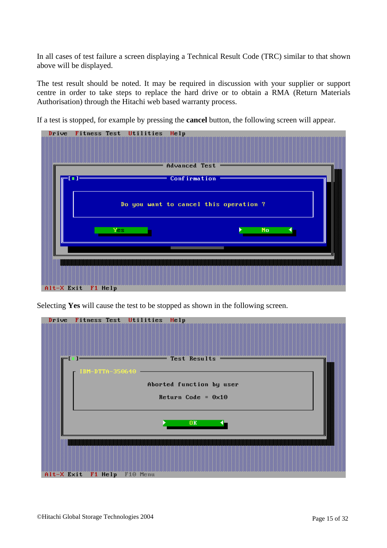In all cases of test failure a screen displaying a Technical Result Code (TRC) similar to that shown above will be displayed.

The test result should be noted. It may be required in discussion with your supplier or support centre in order to take steps to replace the hard drive or to obtain a RMA (Return Materials Authorisation) through the Hitachi web based warranty process.

If a test is stopped, for example by pressing the **cancel** button, the following screen will appear.



Selecting **Yes** will cause the test to be stopped as shown in the following screen.

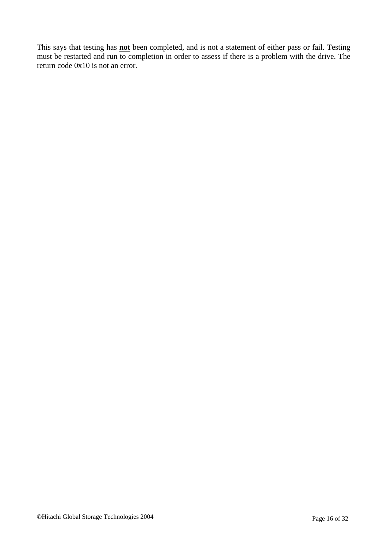This says that testing has **not** been completed, and is not a statement of either pass or fail. Testing must be restarted and run to completion in order to assess if there is a problem with the drive. The return code 0x10 is not an error.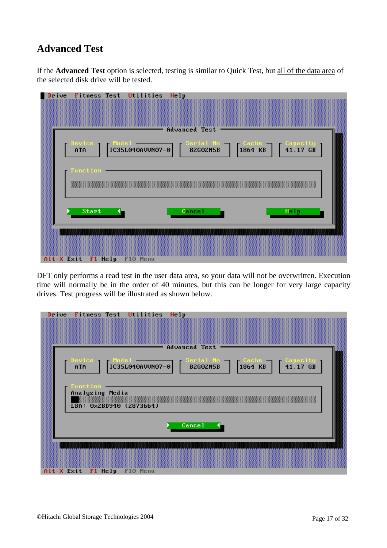## **Advanced Test**

If the **Advanced Test** option is selected, testing is similar to Quick Test, but all of the data area of the selected disk drive will be tested.

| Drive Fitness Test Utilities Help                                                                                                                                                                                                                         |  |
|-----------------------------------------------------------------------------------------------------------------------------------------------------------------------------------------------------------------------------------------------------------|--|
|                                                                                                                                                                                                                                                           |  |
| Advanced Test                                                                                                                                                                                                                                             |  |
|                                                                                                                                                                                                                                                           |  |
| Serial No   Cache   Capacity<br>B2G02N5B   1864 KB   41.17 GB<br>$\Gamma$ Model<br>Device $\blacksquare$<br>$\begin{array}{ c c c c c }\n\hline \text{Node1} & \text{3.44}\n\hline\n\text{IG35L040AUU07-0} & \text{B2602NSB}\n\hline\n\end{array}$<br>ATA |  |
|                                                                                                                                                                                                                                                           |  |
| <b>Function</b>                                                                                                                                                                                                                                           |  |
|                                                                                                                                                                                                                                                           |  |
|                                                                                                                                                                                                                                                           |  |
| <b>Start</b><br><b>Cancel</b><br>Help                                                                                                                                                                                                                     |  |
|                                                                                                                                                                                                                                                           |  |
|                                                                                                                                                                                                                                                           |  |
|                                                                                                                                                                                                                                                           |  |
| Alt-X Exit F1 Help F10 Menu                                                                                                                                                                                                                               |  |

DFT only performs a read test in the user data area, so your data will not be overwritten. Execution time will normally be in the order of 40 minutes, but this can be longer for very large capacity drives. Test progress will be illustrated as shown below.

| Drive | Fitness Test Utilities<br>Help                                                                                                                                                                                            |
|-------|---------------------------------------------------------------------------------------------------------------------------------------------------------------------------------------------------------------------------|
|       | Advanced Test<br>—                                                                                                                                                                                                        |
|       | Serial No -<br>Device $\overline{\phantom{a}}$ Model $\overline{\phantom{a}}$<br>$\begin{array}{ c c c c c }\n\hline\n\text{1864 KB} & \text{131.17 GB}\n\end{array}$<br>$\vert$ IC35L040AVVN07-0 $\vert$ B2G02N5B<br>ATA |
|       | <b>Function</b><br>Analyzing Media<br>LBA: 0x2BD940 (2873664)                                                                                                                                                             |
|       | <b>Cancel</b>                                                                                                                                                                                                             |
|       | Alt-X Exit F1 Help F10 Menu                                                                                                                                                                                               |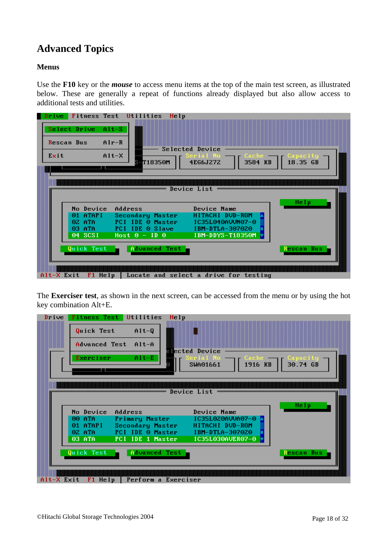# **Advanced Topics**

#### **Menus**

Use the **F10** key or the *mouse* to access menu items at the top of the main test screen, as illustrated below. These are generally a repeat of functions already displayed but also allow access to additional tests and utilities.



The **Exerciser test**, as shown in the next screen, can be accessed from the menu or by using the hot key combination Alt+E.

| Drive |            | <b>Fitness Test Utilities</b><br>Help |                              |            |
|-------|------------|---------------------------------------|------------------------------|------------|
|       | Quick Test | $Alt-Q$                               |                              |            |
| 88888 |            | Advanced Test Alt-A                   | elected Device               |            |
|       | Exerciser  | $A1t-E$                               | Cache<br>1916 KB<br>SWA01661 | 30.74 GB   |
|       |            |                                       |                              |            |
|       |            |                                       | Device List                  |            |
|       |            |                                       |                              |            |
|       |            |                                       |                              |            |
|       | No Device  | Address                               | Device Name                  | Help       |
|       | 00 ATA     | Primary Master                        | IC35L020AUUA07-0             |            |
|       | 01 ATAPI   | Secondary Master                      | HITACHI DUD-ROM              |            |
|       | 02 ATA     | PCI IDE 0 Master                      | IBM-DTLA-307020              |            |
|       | 03 ATA     | PCI IDE 1 Master                      | IC35L030AVER07-0             |            |
|       |            |                                       |                              |            |
|       | Quick Test | Advanced Test                         |                              | Rescan Bus |
|       |            |                                       |                              |            |
|       |            |                                       |                              |            |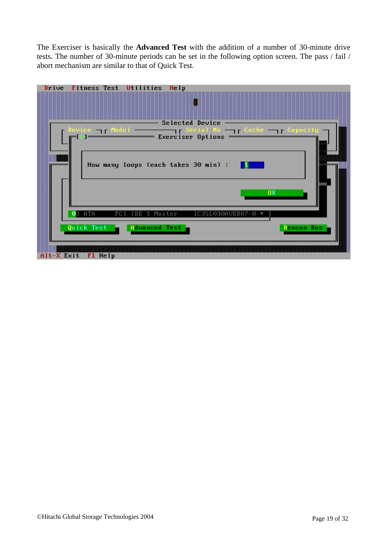The Exerciser is basically the **Advanced Test** with the addition of a number of 30-minute drive tests. The number of 30-minute periods can be set in the following option screen. The pass / fail / abort mechanism are similar to that of Quick Test.

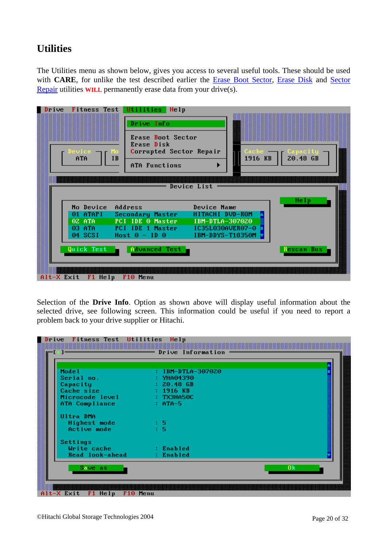## **Utilities**

The Utilities menu as shown below, gives you access to several useful tools. These should be used with **CARE**, for unlike the test described earlier the Erase Boot Sector, Erase Disk and Sector Repair utilities **WILL** permanently erase data from your drive(s).



Selection of the **Drive Info**. Option as shown above will display useful information about the selected drive, see following screen. This information could be useful if you need to report a problem back to your drive supplier or Hitachi.

| Model                      | : IBM-DTLA-307020                                                                                                                                                                                                                                                                                                                                                                                                                                                                          |                |
|----------------------------|--------------------------------------------------------------------------------------------------------------------------------------------------------------------------------------------------------------------------------------------------------------------------------------------------------------------------------------------------------------------------------------------------------------------------------------------------------------------------------------------|----------------|
| Serial no.                 | <b>External Structure: YHA04390</b>                                                                                                                                                                                                                                                                                                                                                                                                                                                        |                |
| Capacity                   | $\sim$ 20.48 GB                                                                                                                                                                                                                                                                                                                                                                                                                                                                            |                |
| Cache size                 | $\blacksquare$ $\blacksquare$ $\blacksquare$ $\blacksquare$ $\blacksquare$ $\blacksquare$ $\blacksquare$ $\blacksquare$ $\blacksquare$ $\blacksquare$ $\blacksquare$ $\blacksquare$ $\blacksquare$ $\blacksquare$ $\blacksquare$ $\blacksquare$ $\blacksquare$ $\blacksquare$ $\blacksquare$ $\blacksquare$ $\blacksquare$ $\blacksquare$ $\blacksquare$ $\blacksquare$ $\blacksquare$ $\blacksquare$ $\blacksquare$ $\blacksquare$ $\blacksquare$ $\blacksquare$ $\blacksquare$ $\blacks$ |                |
| Microcode level : TX3HA50C |                                                                                                                                                                                                                                                                                                                                                                                                                                                                                            |                |
| ATA Compliance : ATA-5     |                                                                                                                                                                                                                                                                                                                                                                                                                                                                                            |                |
| Ultra DMA                  |                                                                                                                                                                                                                                                                                                                                                                                                                                                                                            |                |
| Highest mode               | . 5                                                                                                                                                                                                                                                                                                                                                                                                                                                                                        |                |
| Active mode                | $\pm$ 5.                                                                                                                                                                                                                                                                                                                                                                                                                                                                                   |                |
| Settings                   |                                                                                                                                                                                                                                                                                                                                                                                                                                                                                            |                |
| Write cache : Enabled      |                                                                                                                                                                                                                                                                                                                                                                                                                                                                                            |                |
| Read look-ahead : Enabled  |                                                                                                                                                                                                                                                                                                                                                                                                                                                                                            |                |
| Save as                    |                                                                                                                                                                                                                                                                                                                                                                                                                                                                                            | 0 <sub>k</sub> |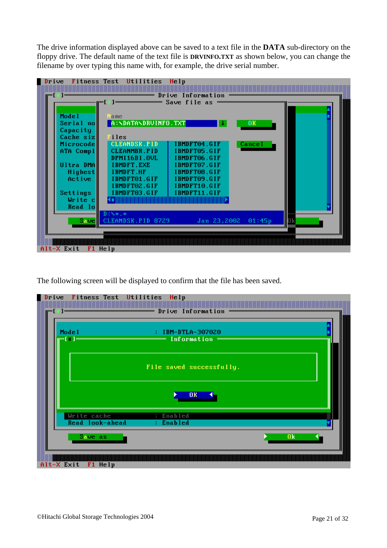The drive information displayed above can be saved to a text file in the **DATA** sub-directory on the floppy drive. The default name of the text file is **DRVINFO.TXT** as shown below, you can change the filename by over typing this name with, for example, the drive serial number.



The following screen will be displayed to confirm that the file has been saved.

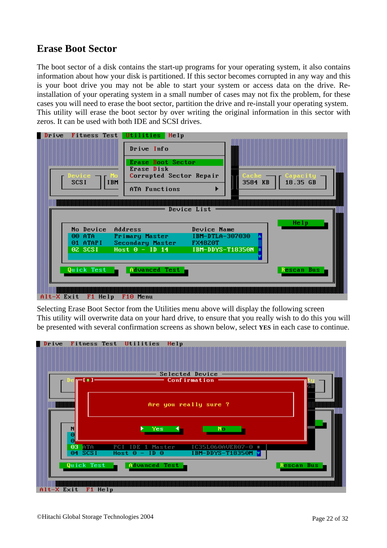### **Erase Boot Sector**

The boot sector of a disk contains the start-up programs for your operating system, it also contains information about how your disk is partitioned. If this sector becomes corrupted in any way and this is your boot drive you may not be able to start your system or access data on the drive. Reinstallation of your operating system in a small number of cases may not fix the problem, for these cases you will need to erase the boot sector, partition the drive and re-install your operating system. This utility will erase the boot sector by over writing the original information in this sector with zeros. It can be used with both IDE and SCSI drives.

| Jevice<br><b>SCSI</b>                                    | Erase Boot Sector<br>Erase Disk<br>Corrupted Sector Repair<br><b>IBM</b><br>ATA Functions  | Cache :<br>3584 KB<br>▶                                                  | Capacity<br>18.35 GB |
|----------------------------------------------------------|--------------------------------------------------------------------------------------------|--------------------------------------------------------------------------|----------------------|
| No Device<br>00 ATA<br>01 ATAPI<br>02 SCSI<br>Quick Test | Address<br>Primary Master<br>Secondary Master FX4820T<br>$Host 0 - ID 14$<br>Advanced Test | Device List<br>Device Name<br>IBM-DTLA-307030<br><b>IBM-DDYS-T18350N</b> | Help<br>Rescan Bus   |

Selecting Erase Boot Sector from the Utilities menu above will display the following screen This utility will overwrite data on your hard drive, to ensure that you really wish to do this you will be presented with several confirmation screens as shown below, select **YES** in each case to continue.

![](_page_21_Figure_4.jpeg)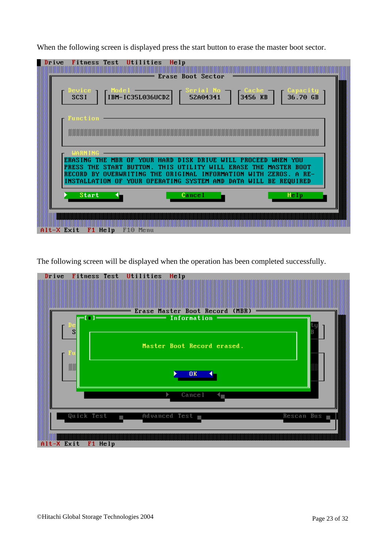When the following screen is displayed press the start button to erase the master boot sector.

| Fitness Test Utilities<br>Drive | Help<br><b>Erase Boot Sector</b>                                                                                                                                                                                                                                        |                                                                                                                                   |
|---------------------------------|-------------------------------------------------------------------------------------------------------------------------------------------------------------------------------------------------------------------------------------------------------------------------|-----------------------------------------------------------------------------------------------------------------------------------|
| Jevice.<br><b>SCSI</b>          | Serial No<br>52A04341<br>$\begin{bmatrix} \text{Mode 1} \\ \text{IBM-IC35L036UCD2} \end{bmatrix}$                                                                                                                                                                       | $\begin{bmatrix} \text{Cache} \\ \text{3456 KB} \end{bmatrix}$ $\begin{bmatrix} \text{Capacity} \\ \text{36.70 GB} \end{bmatrix}$ |
| Function                        |                                                                                                                                                                                                                                                                         |                                                                                                                                   |
| <b>WARNING</b>                  | ERASING THE MBR OF YOUR HARD DISK DRIVE WILL PROCEED WHEN YOU<br>PRESS THE START BUTTON. THIS UTILITY WILL ERASE THE MASTER BOOT<br>RECORD BY OVERWRITING THE ORIGINAL INFORMATION WITH ZEROS. A RE-<br>INSTALLATION OF YOUR OPERATING SYSTEM AND DATA WILL BE REQUIRED |                                                                                                                                   |
| <b>Start</b>                    | <b>Cancel</b>                                                                                                                                                                                                                                                           | Help                                                                                                                              |
| Alt-X Exit F1 Help              | F10 Menu                                                                                                                                                                                                                                                                |                                                                                                                                   |

The following screen will be displayed when the operation has been completed successfully.

![](_page_22_Figure_3.jpeg)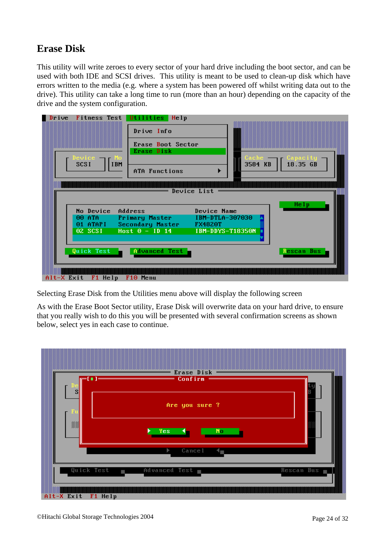## **Erase Disk**

This utility will write zeroes to every sector of your hard drive including the boot sector, and can be used with both IDE and SCSI drives. This utility is meant to be used to clean-up disk which have errors written to the media (e.g. where a system has been powered off whilst writing data out to the drive). This utility can take a long time to run (more than an hour) depending on the capacity of the drive and the system configuration.

![](_page_23_Picture_2.jpeg)

Selecting Erase Disk from the Utilities menu above will display the following screen

As with the Erase Boot Sector utility, Erase Disk will overwrite data on your hard drive, to ensure that you really wish to do this you will be presented with several confirmation screens as shown below, select yes in each case to continue.

![](_page_23_Figure_5.jpeg)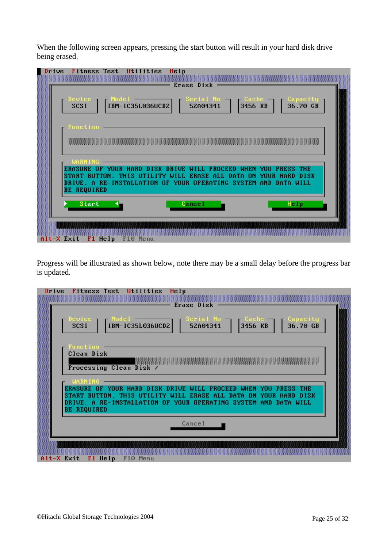When the following screen appears, pressing the start button will result in your hard disk drive being erased.

| Device $\blacksquare$<br>SCSI |              | $=$ Erase Disk                                                                                                                                                                                         |               |      |
|-------------------------------|--------------|--------------------------------------------------------------------------------------------------------------------------------------------------------------------------------------------------------|---------------|------|
| <b>Function</b>               |              |                                                                                                                                                                                                        |               |      |
| <b>WARNING</b>                |              | ERASURE OF YOUR HARD DISK DRIVE WILL PROCEED WHEN YOU PRESS THE<br>START BUTTON. THIS UTILITY WILL ERASE ALL DATA ON YOUR HARD DISK<br>DRIVE. A RE-INSTALLATION OF YOUR OPERATING SYSTEM AND DATA WILL |               |      |
|                               |              |                                                                                                                                                                                                        |               |      |
| <b>BE REQUIRED</b>            | <b>Start</b> |                                                                                                                                                                                                        | <b>Cancel</b> | Help |

Progress will be illustrated as shown below, note there may be a small delay before the progress bar is updated.

| Drive<br>Fitness Test Utilities<br>Help                                                                                                                                                                                                                                                         |  |
|-------------------------------------------------------------------------------------------------------------------------------------------------------------------------------------------------------------------------------------------------------------------------------------------------|--|
|                                                                                                                                                                                                                                                                                                 |  |
| Erase Disk                                                                                                                                                                                                                                                                                      |  |
| )evice -<br>- Cache I                                                                                                                                                                                                                                                                           |  |
| Serial No.<br>52A04341<br>$\begin{array}{ c c c }\n\hline\n\text{Model} & \text{---} & \text{---} \\ \hline\n\text{IBM}-\text{IC35L036UCD2} & \text{---} & \text{---} \\ \hline\n\end{array}$<br>$\begin{bmatrix} \text{Capacity} \\ \text{36.70 GB} \end{bmatrix}$<br>$3456$ KB<br><b>SCSI</b> |  |
|                                                                                                                                                                                                                                                                                                 |  |
|                                                                                                                                                                                                                                                                                                 |  |
| Function<br>Clean Disk                                                                                                                                                                                                                                                                          |  |
|                                                                                                                                                                                                                                                                                                 |  |
| Processing Clean Disk /                                                                                                                                                                                                                                                                         |  |
|                                                                                                                                                                                                                                                                                                 |  |
| <b>WARNING</b>                                                                                                                                                                                                                                                                                  |  |
| ERASURE OF YOUR HARD DISK DRIVE WILL PROCEED WHEN YOU PRESS THE<br>START BUTTON. THIS UTILITY WILL ERASE ALL DATA ON YOUR HARD DISK                                                                                                                                                             |  |
| DRIVE. A RE-INSTALLATION OF YOUR OPERATING SYSTEM AND DATA WILL                                                                                                                                                                                                                                 |  |
| <b>BE REQUIRED</b>                                                                                                                                                                                                                                                                              |  |
|                                                                                                                                                                                                                                                                                                 |  |
| Cancel                                                                                                                                                                                                                                                                                          |  |
|                                                                                                                                                                                                                                                                                                 |  |
|                                                                                                                                                                                                                                                                                                 |  |
|                                                                                                                                                                                                                                                                                                 |  |
| F1 Help<br>Alt-X Exit<br>F10 Menu                                                                                                                                                                                                                                                               |  |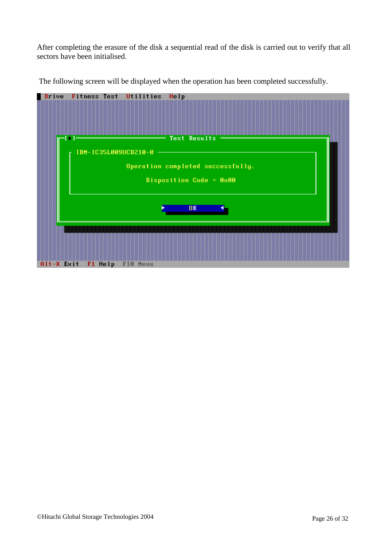After completing the erasure of the disk a sequential read of the disk is carried out to verify that all sectors have been initialised.

![](_page_25_Figure_1.jpeg)

The following screen will be displayed when the operation has been completed successfully.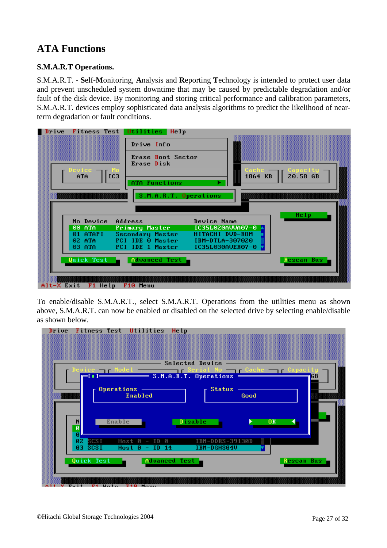# **ATA Functions**

#### **S.M.A.R.T Operations.**

S.M.A.R.T. - **S**elf-**M**onitoring, **A**nalysis and **R**eporting **T**echnology is intended to protect user data and prevent unscheduled system downtime that may be caused by predictable degradation and/or fault of the disk device. By monitoring and storing critical performance and calibration parameters, S.M.A.R.T. devices employ sophisticated data analysis algorithms to predict the likelihood of nearterm degradation or fault conditions.

| Drive Info<br>Erase Boot Sector<br>Erase Disk                                              |
|--------------------------------------------------------------------------------------------|
|                                                                                            |
|                                                                                            |
| Cache<br>Device<br>$20.58$ $GB$<br>IC <sub>3</sub><br>1864 KB<br>ATA<br>ATA Functions<br>▶ |
| S.M.A.R.T. Operations                                                                      |
|                                                                                            |
| Help<br>No Device<br>Address<br>Device Name                                                |
| 00 ATA<br>IC35L020AVVA07-0<br><b>Primary Master</b>                                        |
| HITACHI DUD-ROM<br>01 ATAPI<br>Secondary Master                                            |
| PCI IDE 0 Master<br>$02$ ATA $-$<br>IBM-DTLA-307020                                        |
| PCI IDE 1 Master<br>03 ATA<br>IC35L030AVER07-0                                             |
| Quick Test<br>Advanced Test<br>Rescan Bus                                                  |
|                                                                                            |
|                                                                                            |
| Alt-X Exit<br>F1 Help<br>F10 Menu                                                          |

To enable/disable S.M.A.R.T., select S.M.A.R.T. Operations from the utilities menu as shown above, S.M.A.R.T. can now be enabled or disabled on the selected drive by selecting enable/disable as shown below.

![](_page_26_Figure_5.jpeg)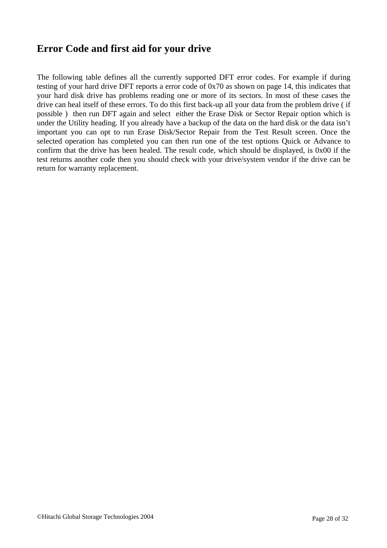### **Error Code and first aid for your drive**

The following table defines all the currently supported DFT error codes. For example if during testing of your hard drive DFT reports a error code of 0x70 as shown on page 14, this indicates that your hard disk drive has problems reading one or more of its sectors. In most of these cases the drive can heal itself of these errors. To do this first back-up all your data from the problem drive ( if possible ) then run DFT again and select either the Erase Disk or Sector Repair option which is under the Utility heading. If you already have a backup of the data on the hard disk or the data isn't important you can opt to run Erase Disk/Sector Repair from the Test Result screen. Once the selected operation has completed you can then run one of the test options Quick or Advance to confirm that the drive has been healed. The result code, which should be displayed, is 0x00 if the test returns another code then you should check with your drive/system vendor if the drive can be return for warranty replacement.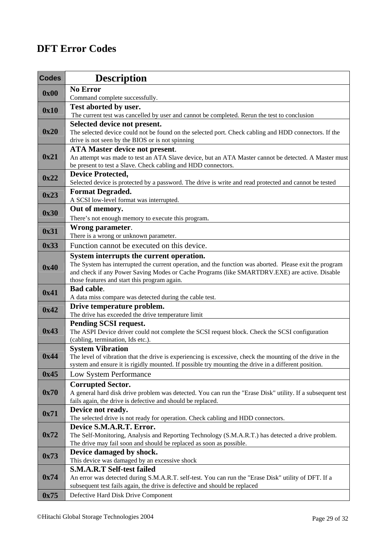# **DFT Error Codes**

| <b>Codes</b> | <b>Description</b>                                                                                         |
|--------------|------------------------------------------------------------------------------------------------------------|
|              | <b>No Error</b>                                                                                            |
| 0x00         | Command complete successfully.                                                                             |
| 0x10         | Test aborted by user.                                                                                      |
|              | The current test was cancelled by user and cannot be completed. Rerun the test to conclusion               |
|              | Selected device not present.                                                                               |
| 0x20         | The selected device could not be found on the selected port. Check cabling and HDD connectors. If the      |
|              | drive is not seen by the BIOS or is not spinning                                                           |
| 0x21         | <b>ATA Master device not present.</b>                                                                      |
|              | An attempt was made to test an ATA Slave device, but an ATA Master cannot be detected. A Master must       |
|              | be present to test a Slave. Check cabling and HDD connectors.                                              |
| 0x22         | <b>Device Protected,</b>                                                                                   |
|              | Selected device is protected by a password. The drive is write and read protected and cannot be tested     |
| 0x23         | <b>Format Degraded.</b>                                                                                    |
|              | A SCSI low-level format was interrupted.                                                                   |
|              | Out of memory.                                                                                             |
| 0x30         | There's not enough memory to execute this program.                                                         |
| 0x31         | Wrong parameter.                                                                                           |
|              | There is a wrong or unknown parameter.                                                                     |
| 0x33         | Function cannot be executed on this device.                                                                |
|              | System interrupts the current operation.                                                                   |
|              | The System has interrupted the current operation, and the function was aborted. Please exit the program    |
| 0x40         | and check if any Power Saving Modes or Cache Programs (like SMARTDRV.EXE) are active. Disable              |
|              | those features and start this program again.                                                               |
| 0x41         | <b>Bad cable.</b>                                                                                          |
|              | A data miss compare was detected during the cable test.                                                    |
| 0x42         | Drive temperature problem.                                                                                 |
|              | The drive has exceeded the drive temperature limit                                                         |
|              | <b>Pending SCSI request.</b>                                                                               |
| 0x43         | The ASPI Device driver could not complete the SCSI request block. Check the SCSI configuration             |
|              | (cabling, termination, Ids etc.).                                                                          |
|              | <b>System Vibration</b>                                                                                    |
| 0x44         | The level of vibration that the drive is experiencing is excessive, check the mounting of the drive in the |
|              | system and ensure it is rigidly mounted. If possible try mounting the drive in a different position.       |
| 0x45         | Low System Performance                                                                                     |
|              | <b>Corrupted Sector.</b>                                                                                   |
| 0x70         | A general hard disk drive problem was detected. You can run the "Erase Disk" utility. If a subsequent test |
|              | fails again, the drive is defective and should be replaced.                                                |
| 0x71         | Device not ready.                                                                                          |
|              | The selected drive is not ready for operation. Check cabling and HDD connectors.                           |
| 0x72         | Device S.M.A.R.T. Error.                                                                                   |
|              | The Self-Monitoring, Analysis and Reporting Technology (S.M.A.R.T.) has detected a drive problem.          |
| 0x73         | The drive may fail soon and should be replaced as soon as possible.                                        |
|              | Device damaged by shock.<br>This device was damaged by an excessive shock                                  |
|              | <b>S.M.A.R.T Self-test failed</b>                                                                          |
| 0x74         | An error was detected during S.M.A.R.T. self-test. You can run the "Erase Disk" utility of DFT. If a       |
|              | subsequent test fails again, the drive is defective and should be replaced                                 |
| 0x75         | Defective Hard Disk Drive Component                                                                        |
|              |                                                                                                            |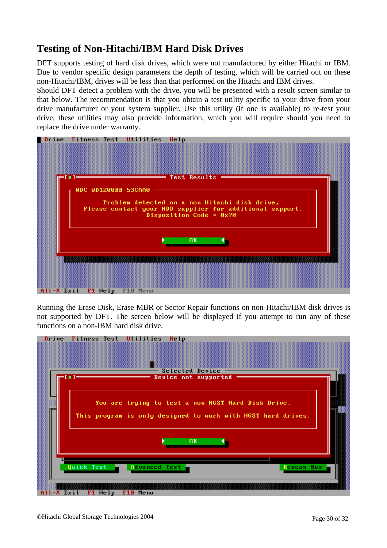## **Testing of Non-Hitachi/IBM Hard Disk Drives**

DFT supports testing of hard disk drives, which were not manufactured by either Hitachi or IBM. Due to vendor specific design parameters the depth of testing, which will be carried out on these non-Hitachi/IBM, drives will be less than that performed on the Hitachi and IBM drives.

Should DFT detect a problem with the drive, you will be presented with a result screen similar to that below. The recommendation is that you obtain a test utility specific to your drive from your drive manufacturer or your system supplier. Use this utility (if one is available) to re-test your drive, these utilities may also provide information, which you will require should you need to replace the drive under warranty.

![](_page_29_Picture_3.jpeg)

Running the Erase Disk, Erase MBR or Sector Repair functions on non-Hitachi/IBM disk drives is not supported by DFT. The screen below will be displayed if you attempt to run any of these functions on a non-IBM hard disk drive.

![](_page_29_Figure_5.jpeg)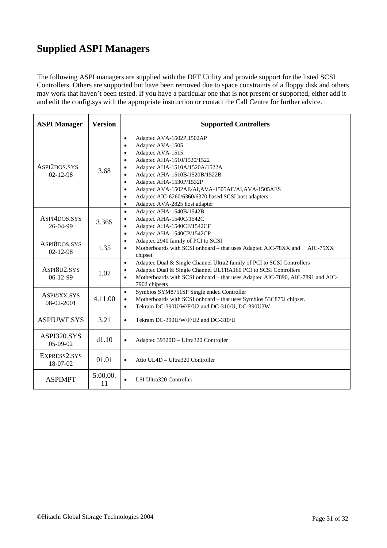# **Supplied ASPI Managers**

The following ASPI managers are supplied with the DFT Utility and provide support for the listed SCSI Controllers. Others are supported but have been removed due to space constraints of a floppy disk and others may work that haven't been tested. If you have a particular one that is not present or supported, either add it and edit the config.sys with the appropriate instruction or contact the Call Centre for further advice.

| <b>ASPI Manager</b>            | <b>Version</b> | <b>Supported Controllers</b>                                                                                                                                                                                                                                                                                                                                                                                                                     |  |
|--------------------------------|----------------|--------------------------------------------------------------------------------------------------------------------------------------------------------------------------------------------------------------------------------------------------------------------------------------------------------------------------------------------------------------------------------------------------------------------------------------------------|--|
| ASPI2DOS.SYS<br>$02 - 12 - 98$ | 3.68           | Adaptec AVA-1502P,1502AP<br>$\bullet$<br>Adaptec AVA-1505<br>$\bullet$<br>Adaptec AVA-1515<br>$\bullet$<br>Adaptec AHA-1510/1520/1522<br>$\bullet$<br>Adaptec AHA-1510A/1520A/1522A<br>Adaptec AHA-1510B/1520B/1522B<br>Adaptec AHA-1530P/1532P<br>$\bullet$<br>Adaptec AVA-1502AE/AI, AVA-1505AE/AI, AVA-1505AES<br>$\bullet$<br>Adaptec AIC-6260/6360/6370 based SCSI host adapters<br>$\bullet$<br>Adaptec AVA-2825 host adapter<br>$\bullet$ |  |
| ASPI4DOS.SYS<br>26-04-99       | 3.36S          | Adaptec AHA-1540B/1542B<br>$\bullet$<br>Adaptec AHA-1540C/1542C<br>Adaptec AHA-1540CF/1542CF<br>$\bullet$<br>Adaptec AHA-1540CP/1542CP<br>$\bullet$                                                                                                                                                                                                                                                                                              |  |
| ASPI8DOS.SYS<br>$02 - 12 - 98$ | 1.35           | Adaptec 2940 family of PCI to SCSI<br>$\bullet$<br>Motherboards with SCSI onboard - that uses Adaptec AIC-78XX and<br>$AIC-75XX$<br>$\bullet$<br>chipset                                                                                                                                                                                                                                                                                         |  |
| ASPI8U2.SYS<br>$06-12-99$      | 1.07           | Adaptec Dual & Single Channel Ultra2 family of PCI to SCSI Controllers<br>$\bullet$<br>Adaptec Dual & Single Channel ULTRA160 PCI to SCSI Controllers<br>Motherboards with SCSI onboard - that uses Adaptec AIC-7890, AIC-7891 and AIC-<br>$\bullet$<br>7902 chipsets                                                                                                                                                                            |  |
| ASPI8XX.SYS<br>08-02-2001      | 4.11.00        | Symbios SYM8751SP Single ended Controller<br>$\bullet$<br>Motherboards with SCSI onboard - that uses Symbios 53C875J chipset.<br>$\bullet$<br>Tekram DC-390U/W/F/U2 and DC-310/U, DC-390U3W<br>$\bullet$                                                                                                                                                                                                                                         |  |
| <b>ASPIUWF.SYS</b>             | 3.21           | Tekram DC-390U/W/F/U2 and DC-310/U<br>$\bullet$                                                                                                                                                                                                                                                                                                                                                                                                  |  |
| ASPI320.SYS<br>$05-09-02$      | d1.10          | Adaptec 39320D - Ultra320 Controller<br>$\bullet$                                                                                                                                                                                                                                                                                                                                                                                                |  |
| EXPRESS2.SYS<br>18-07-02       | 01.01          | Atto UL4D - Ultra320 Controller                                                                                                                                                                                                                                                                                                                                                                                                                  |  |
| <b>ASPIMPT</b>                 | 5.00.00.<br>11 | LSI Ultra320 Controller                                                                                                                                                                                                                                                                                                                                                                                                                          |  |